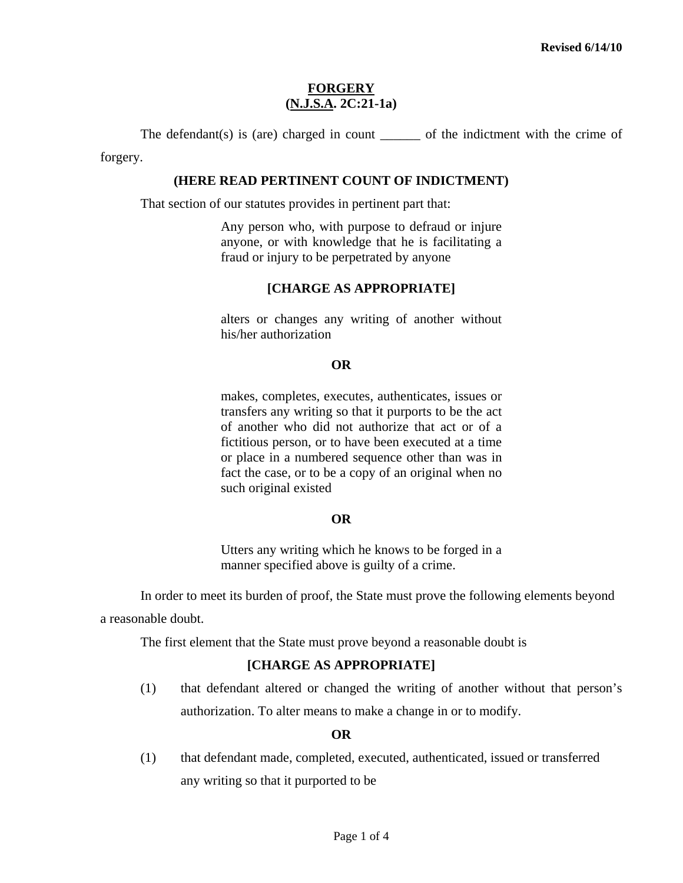# **FORGERY (N.J.S.A. 2C:21-1a)**

The defendant(s) is (are) charged in count \_\_\_\_\_\_\_ of the indictment with the crime of

forgery.

#### **(HERE READ PERTINENT COUNT OF INDICTMENT)**

That section of our statutes provides in pertinent part that:

Any person who, with purpose to defraud or injure anyone, or with knowledge that he is facilitating a fraud or injury to be perpetrated by anyone

# **[CHARGE AS APPROPRIATE]**

alters or changes any writing of another without his/her authorization

#### **OR**

 makes, completes, executes, authenticates, issues or transfers any writing so that it purports to be the act of another who did not authorize that act or of a fictitious person, or to have been executed at a time or place in a numbered sequence other than was in fact the case, or to be a copy of an original when no such original existed

## **OR**

Utters any writing which he knows to be forged in a manner specified above is guilty of a crime.

 In order to meet its burden of proof, the State must prove the following elements beyond a reasonable doubt.

The first element that the State must prove beyond a reasonable doubt is

# **[CHARGE AS APPROPRIATE]**

(1) that defendant altered or changed the writing of another without that person's authorization. To alter means to make a change in or to modify.

## **OR**

<span id="page-0-0"></span>(1) that defendant made, completed, executed, authenticated, issued or transferred any writing so that it purported to be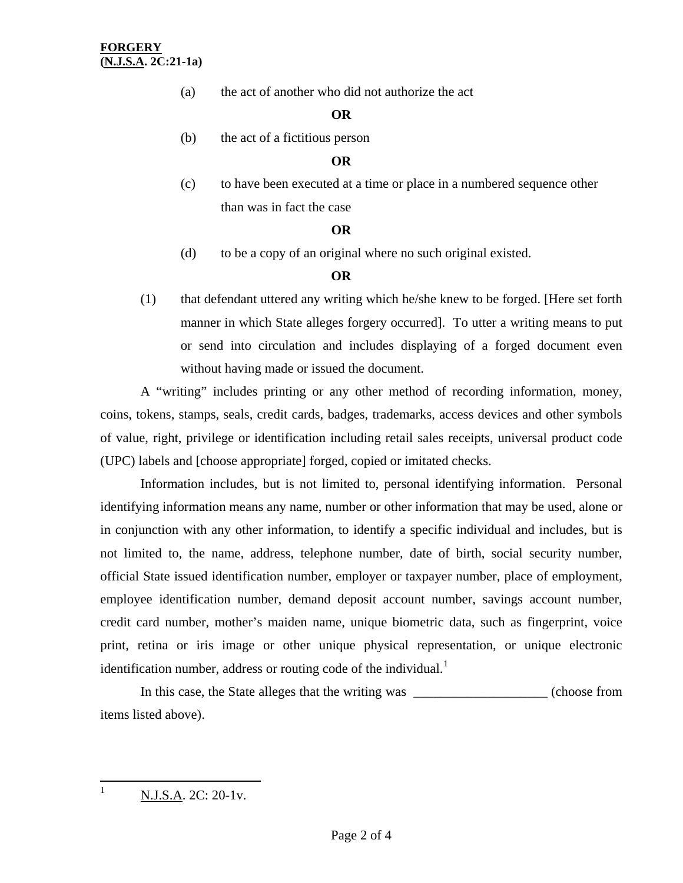(a) the act of another who did not authorize the act

# **OR**

(b) the act of a fictitious person

# **OR**

(c) to have been executed at a time or place in a numbered sequence other than was in fact the case

## **OR**

(d) to be a copy of an original where no such original existed.

# **OR**

(1) that defendant uttered any writing which he/she knew to be forged. [Here set forth manner in which State alleges forgery occurred]. To utter a writing means to put or send into circulation and includes displaying of a forged document even without having made or issued the document.

 A "writing" includes printing or any other method of recording information, money, coins, tokens, stamps, seals, credit cards, badges, trademarks, access devices and other symbols of value, right, privilege or identification including retail sales receipts, universal product code (UPC) labels and [choose appropriate] forged, copied or imitated checks.

Information includes, but is not limited to, personal identifying information. Personal identifying information means any name, number or other information that may be used, alone or in conjunction with any other information, to identify a specific individual and includes, but is not limited to, the name, address, telephone number, date of birth, social security number, official State issued identification number, employer or taxpayer number, place of employment, employee identification number, demand deposit account number, savings account number, credit card number, mother's maiden name, unique biometric data, such as fingerprint, voice print, retina or iris image or other unique physical representation, or unique electronic identification number, address or routing code of the individual.<sup>[1](#page-0-0)</sup>

 In this case, the State alleges that the writing was \_\_\_\_\_\_\_\_\_\_\_\_\_\_\_\_\_\_\_\_ (choose from items listed above).

<span id="page-1-0"></span> $\frac{1}{1}$ N.J.S.A. 2C: 20-1v.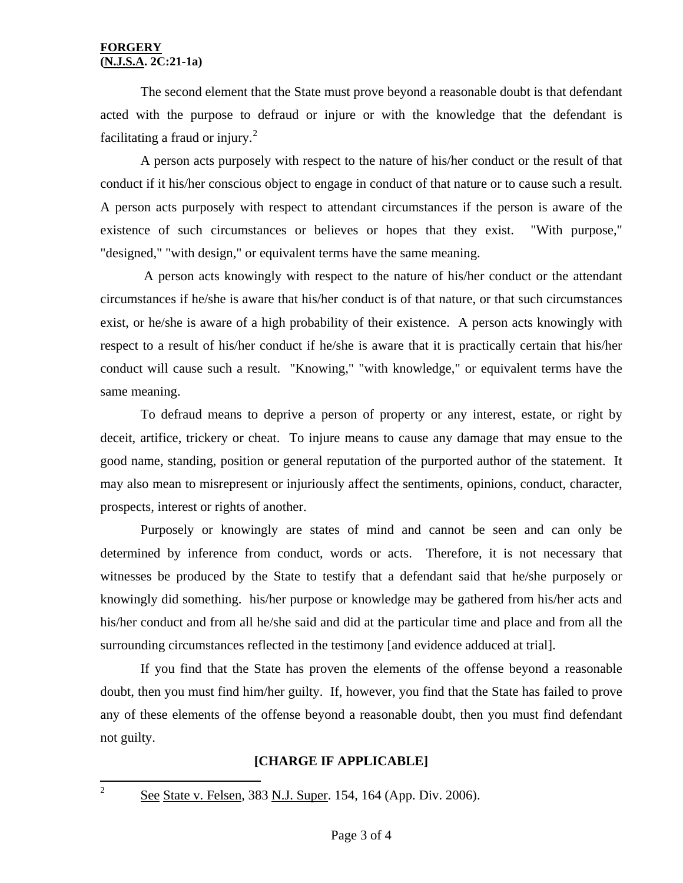#### **FORGERY (N.J.S.A. 2C:21-1a)**

The second element that the State must prove beyond a reasonable doubt is that defendant acted with the purpose to defraud or injure or with the knowledge that the defendant is facilitating a fraud or injury. $^{2}$  $^{2}$  $^{2}$ 

 A person acts purposely with respect to the nature of his/her conduct or the result of that conduct if it his/her conscious object to engage in conduct of that nature or to cause such a result. A person acts purposely with respect to attendant circumstances if the person is aware of the existence of such circumstances or believes or hopes that they exist. "With purpose," "designed," "with design," or equivalent terms have the same meaning.

 A person acts knowingly with respect to the nature of his/her conduct or the attendant circumstances if he/she is aware that his/her conduct is of that nature, or that such circumstances exist, or he/she is aware of a high probability of their existence. A person acts knowingly with respect to a result of his/her conduct if he/she is aware that it is practically certain that his/her conduct will cause such a result. "Knowing," "with knowledge," or equivalent terms have the same meaning.

 To defraud means to deprive a person of property or any interest, estate, or right by deceit, artifice, trickery or cheat. To injure means to cause any damage that may ensue to the good name, standing, position or general reputation of the purported author of the statement. It may also mean to misrepresent or injuriously affect the sentiments, opinions, conduct, character, prospects, interest or rights of another.

 Purposely or knowingly are states of mind and cannot be seen and can only be determined by inference from conduct, words or acts. Therefore, it is not necessary that witnesses be produced by the State to testify that a defendant said that he/she purposely or knowingly did something. his/her purpose or knowledge may be gathered from his/her acts and his/her conduct and from all he/she said and did at the particular time and place and from all the surrounding circumstances reflected in the testimony [and evidence adduced at trial].

 If you find that the State has proven the elements of the offense beyond a reasonable doubt, then you must find him/her guilty. If, however, you find that the State has failed to prove any of these elements of the offense beyond a reasonable doubt, then you must find defendant not guilty.

# **[CHARGE IF APPLICABLE]**

<span id="page-2-0"></span> $\frac{1}{2}$ 

See State v. Felsen, 383 N.J. Super. 154, 164 (App. Div. 2006).